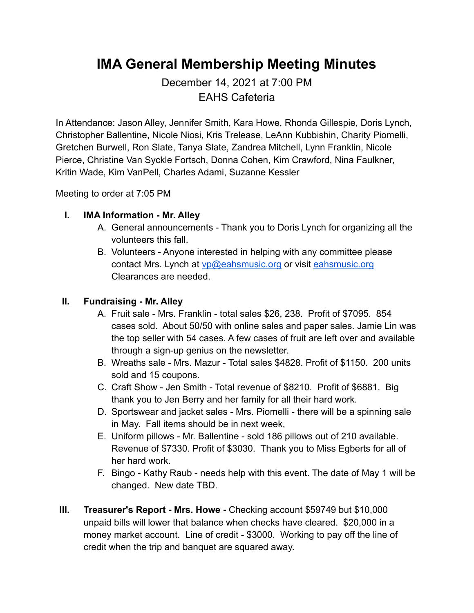## **IMA General Membership Meeting Minutes**

December 14, 2021 at 7:00 PM EAHS Cafeteria

In Attendance: Jason Alley, Jennifer Smith, Kara Howe, Rhonda Gillespie, Doris Lynch, Christopher Ballentine, Nicole Niosi, Kris Trelease, LeAnn Kubbishin, Charity Piomelli, Gretchen Burwell, Ron Slate, Tanya Slate, Zandrea Mitchell, Lynn Franklin, Nicole Pierce, Christine Van Syckle Fortsch, Donna Cohen, Kim Crawford, Nina Faulkner, Kritin Wade, Kim VanPell, Charles Adami, Suzanne Kessler

Meeting to order at 7:05 PM

## **I. IMA Information - Mr. Alley**

- A. General announcements Thank you to Doris Lynch for organizing all the volunteers this fall.
- B. Volunteers Anyone interested in helping with any committee please contact Mrs. Lynch at [vp@eahsmusic.org](mailto:vp@eahsmusic.org) or visit [eahsmusic.org](https://eahsmusic.org) Clearances are needed.

## **II. Fundraising - Mr. Alley**

- A. Fruit sale Mrs. Franklin total sales \$26, 238. Profit of \$7095. 854 cases sold. About 50/50 with online sales and paper sales. Jamie Lin was the top seller with 54 cases. A few cases of fruit are left over and available through a sign-up genius on the newsletter.
- B. Wreaths sale Mrs. Mazur Total sales \$4828. Profit of \$1150. 200 units sold and 15 coupons.
- C. Craft Show Jen Smith Total revenue of \$8210. Profit of \$6881. Big thank you to Jen Berry and her family for all their hard work.
- D. Sportswear and jacket sales Mrs. Piomelli there will be a spinning sale in May. Fall items should be in next week,
- E. Uniform pillows Mr. Ballentine sold 186 pillows out of 210 available. Revenue of \$7330. Profit of \$3030. Thank you to Miss Egberts for all of her hard work.
- F. Bingo Kathy Raub needs help with this event. The date of May 1 will be changed. New date TBD.
- **III. Treasurer's Report Mrs. Howe -** Checking account \$59749 but \$10,000 unpaid bills will lower that balance when checks have cleared. \$20,000 in a money market account. Line of credit - \$3000. Working to pay off the line of credit when the trip and banquet are squared away.